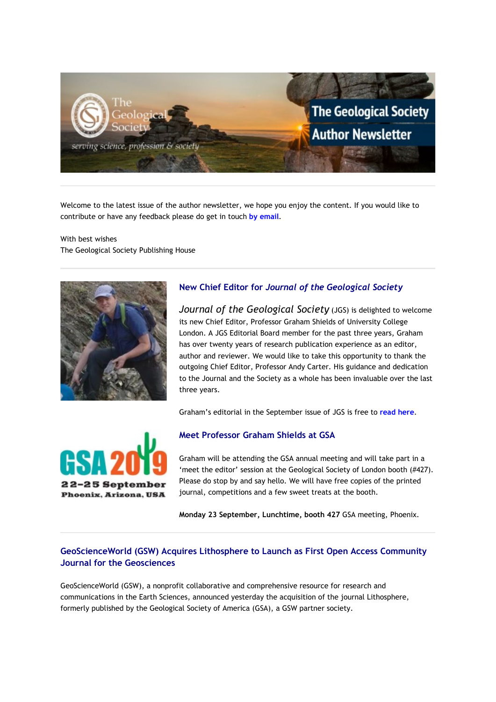

Welcome to the latest issue of the author newsletter, we hope you enjoy the content. If you would like to contribute or have any feedback please do get in touch **[by email](mailto:marketing@geolsoc.org.uk?subject=Author%20Newsletter)**.

With best wishes The Geological Society Publishing House



# **New Chief Editor for** *Journal of the Geological Society*

*Journal of the Geological Society* (JGS) is delighted to welcome its new Chief Editor, Professor Graham Shields of University College London. A JGS Editorial Board member for the past three years, Graham has over twenty years of research publication experience as an editor, author and reviewer. We would like to take this opportunity to thank the outgoing Chief Editor, Professor Andy Carter. His guidance and dedication to the Journal and the Society as a whole has been invaluable over the last three years.

Graham's editorial in the September issue of JGS is free to **[read here](https://eur01.safelinks.protection.outlook.com/?url=http%3A%2F%2Fgeologicalsociety.msgfocus.com%2Fc%2F1QQrCJbabA6R6HjDqjhcQYHA&data=02%7C01%7Clucy.pullen%40geolsoc.org.uk%7Ca51d414b08f54f6ce39008d73c3d341b%7C8793af0570194bd4bcbe1895301e92f9%7C0%7C0%7C637044105878781014&sdata=k7tqRiZxwD%2BHB94QlHLHaqIoVT%2FcuXCSBST0qkLzxIU%3D&reserved=0)**.



#### **Meet Professor Graham Shields at GSA**

Graham will be attending the GSA annual meeting and will take part in a 'meet the editor' session at the Geological Society of London booth (#427). Please do stop by and say hello. We will have free copies of the printed journal, competitions and a few sweet treats at the booth.

**Monday 23 September, Lunchtime, booth 427** GSA meeting, Phoenix.

# **GeoScienceWorld (GSW) Acquires Lithosphere to Launch as First Open Access Community Journal for the Geosciences**

GeoScienceWorld (GSW), a nonprofit collaborative and comprehensive resource for research and communications in the Earth Sciences, announced yesterday the acquisition of the journal Lithosphere, formerly published by the Geological Society of America (GSA), a GSW partner society.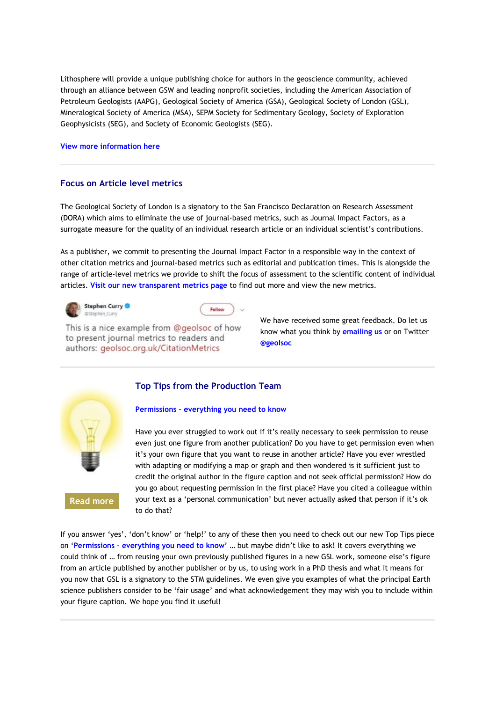Lithosphere will provide a unique publishing choice for authors in the geoscience community, achieved through an alliance between GSW and leading nonprofit societies, including the American Association of Petroleum Geologists (AAPG), Geological Society of America (GSA), Geological Society of London (GSL), Mineralogical Society of America (MSA), SEPM Society for Sedimentary Geology, Society of Exploration Geophysicists (SEG), and Society of Economic Geologists (SEG).

#### **[View more information here](https://eur01.safelinks.protection.outlook.com/?url=http%3A%2F%2Fgeologicalsociety.msgfocus.com%2Fc%2F1QQrZdiKqYBQVjkIifR027NJ&data=02%7C01%7Clucy.pullen%40geolsoc.org.uk%7Ca51d414b08f54f6ce39008d73c3d341b%7C8793af0570194bd4bcbe1895301e92f9%7C0%7C0%7C637044105878781014&sdata=%2B9z%2FTATdbkJJFekrk%2Fpod%2Bae8FHhr4TczwQtry%2FeDgI%3D&reserved=0)**

#### **Focus on Article level metrics**

The Geological Society of London is a signatory to the San Francisco Declaration on Research Assessment (DORA) which aims to eliminate the use of journal-based metrics, such as Journal Impact Factors, as a surrogate measure for the quality of an individual research article or an individual scientist's contributions.

As a publisher, we commit to presenting the Journal Impact Factor in a responsible way in the context of other citation metrics and journal-based metrics such as editorial and publication times. This is alongside the range of article-level metrics we provide to shift the focus of assessment to the scientific content of individual articles. **[Visit our new transparent metrics page](https://eur01.safelinks.protection.outlook.com/?url=http%3A%2F%2Fgeologicalsociety.msgfocus.com%2Fc%2F1QQslHqkGn6QJVlNacqNdgTS&data=02%7C01%7Clucy.pullen%40geolsoc.org.uk%7Ca51d414b08f54f6ce39008d73c3d341b%7C8793af0570194bd4bcbe1895301e92f9%7C0%7C0%7C637044105878791010&sdata=Aap0bWCdx7lbr%2BW2PjE6eMcI4%2BdOfxuZq5iDoqbLgpw%3D&reserved=0)** to find out more and view the new metrics.





This is a nice example from @geolsoc of how to present journal metrics to readers and authors: geolsoc.org.uk/CitationMetrics

We have received some great feedback. Do let us know what you think by **[emailing us](mailto:hello@geolsoc.org.uk?subject=Metrics)** or on Twitter **[@geolsoc](https://eur01.safelinks.protection.outlook.com/?url=http%3A%2F%2Fgeologicalsociety.msgfocus.com%2Fc%2F1QQsIbxUVLBQyxmS290Aoq01&data=02%7C01%7Clucy.pullen%40geolsoc.org.uk%7Ca51d414b08f54f6ce39008d73c3d341b%7C8793af0570194bd4bcbe1895301e92f9%7C0%7C0%7C637044105878791010&sdata=cHs0tQwG0cdc2oLnwajLt6YwhGqSB49NUPNQyfpdhms%3D&reserved=0)**



**[Read more](https://eur01.safelinks.protection.outlook.com/?url=http%3A%2F%2Fgeologicalsociety.msgfocus.com%2Fc%2F1QQtNDUFFX6Q0nq6DYJXVRis&data=02%7C01%7Clucy.pullen%40geolsoc.org.uk%7Ca51d414b08f54f6ce39008d73c3d341b%7C8793af0570194bd4bcbe1895301e92f9%7C0%7C0%7C637044105878801004&sdata=TZsy%2BrYQxBMQjrNvuTTwvF3GXDTTM65FRAKaaqwupnI%3D&reserved=0)**

#### **Top Tips from the Production Team**

#### **Permissions – [everything you need to know](https://eur01.safelinks.protection.outlook.com/?url=http%3A%2F%2Fgeologicalsociety.msgfocus.com%2Fc%2F1QQua82fVlBPOZrbvVjL70oB&data=02%7C01%7Clucy.pullen%40geolsoc.org.uk%7Ca51d414b08f54f6ce39008d73c3d341b%7C8793af0570194bd4bcbe1895301e92f9%7C0%7C0%7C637044105878810997&sdata=lm6Yjy0dH9j5QM4zd9hNTpKJ4pH52V%2Bo7W7pJunLK1s%3D&reserved=0)**

Have you ever struggled to work out if it's really necessary to seek permission to reuse even just one figure from another publication? Do you have to get permission even when it's your own figure that you want to reuse in another article? Have you ever wrestled with adapting or modifying a map or graph and then wondered is it sufficient just to credit the original author in the figure caption and not seek official permission? How do you go about requesting permission in the first place? Have you cited a colleague within your text as a 'personal communication' but never actually asked that person if it's ok to do that?

If you answer 'yes', 'don't know' or 'help!' to any of these then you need to check out our new Top Tips piece on '**Permissions – [everything you need to know](https://eur01.safelinks.protection.outlook.com/?url=http%3A%2F%2Fgeologicalsociety.msgfocus.com%2Fc%2F1QQuwC9QaK6PDBsgnRTyi9uK&data=02%7C01%7Clucy.pullen%40geolsoc.org.uk%7Ca51d414b08f54f6ce39008d73c3d341b%7C8793af0570194bd4bcbe1895301e92f9%7C0%7C0%7C637044105878810997&sdata=bSdxHEtMPEUMTHdKHGOvzMW8UewZAz4cyeSc%2B9HOaBo%3D&reserved=0)**' … but maybe didn't like to ask! It covers everything we could think of … from reusing your own previously published figures in a new GSL work, someone else's figure from an article published by another publisher or by us, to using work in a PhD thesis and what it means for you now that GSL is a signatory to the STM guidelines. We even give you examples of what the principal Earth science publishers consider to be 'fair usage' and what acknowledgement they may wish you to include within your figure caption. We hope you find it useful!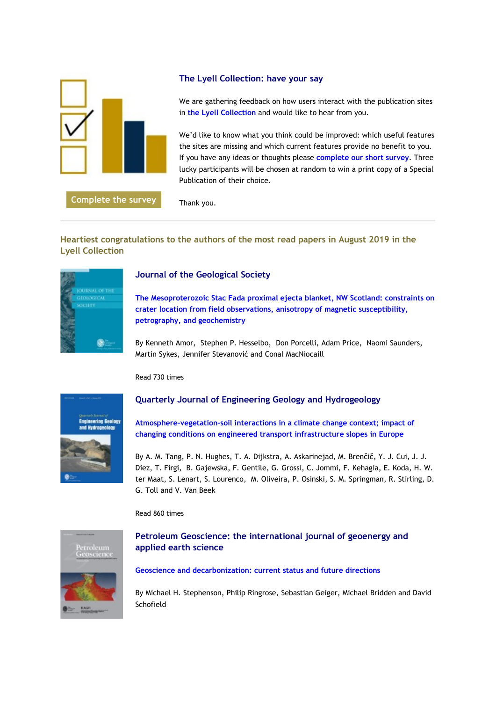

**[Complete the survey](https://eur01.safelinks.protection.outlook.com/?url=http%3A%2F%2Fgeologicalsociety.msgfocus.com%2Fc%2F1QQvfAp0Fx6PgPuq7L38ErH2&data=02%7C01%7Clucy.pullen%40geolsoc.org.uk%7Ca51d414b08f54f6ce39008d73c3d341b%7C8793af0570194bd4bcbe1895301e92f9%7C0%7C0%7C637044105878820989&sdata=3dhDFsgIa7gf7ZZx46PFrTRdmUA%2FbtM08R2dmlBUu2Q%3D&reserved=0)**

# **The Lyell Collection: have your say**

We are gathering feedback on how users interact with the publication sites in **[the Lyell Collection](https://eur01.safelinks.protection.outlook.com/?url=http%3A%2F%2Fgeologicalsociety.msgfocus.com%2Fc%2F1QQvC4wAUVBP5rvuZHCVPANb&data=02%7C01%7Clucy.pullen%40geolsoc.org.uk%7Ca51d414b08f54f6ce39008d73c3d341b%7C8793af0570194bd4bcbe1895301e92f9%7C0%7C0%7C637044105878830984&sdata=YNfJMiEFl79uGkJejhyWYo9OaDu1%2FF5MjGpSKbPU5lo%3D&reserved=0)** and would like to hear from you.

We'd like to know what you think could be improved: which useful features the sites are missing and which current features provide no benefit to you. If you have any ideas or thoughts please **[complete our short](https://eur01.safelinks.protection.outlook.com/?url=http%3A%2F%2Fgeologicalsociety.msgfocus.com%2Fc%2F1QQvYyEbak6OU3wzREcJ0JTk&data=02%7C01%7Clucy.pullen%40geolsoc.org.uk%7Ca51d414b08f54f6ce39008d73c3d341b%7C8793af0570194bd4bcbe1895301e92f9%7C0%7C0%7C637044105878830984&sdata=iTfBf9%2BB96401wMBoqQYyU07Usw6jGRlad2NMQiwvUg%3D&reserved=0) survey**. Three lucky participants will be chosen at random to win a print copy of a Special Publication of their choice.

Thank you.

# **Heartiest congratulations to the authors of the most read papers in August 2019 in the Lyell Collection**



# **Journal of the Geological Society**

**[The Mesoproterozoic Stac Fada proximal ejecta blanket, NW Scotland: constraints on](https://eur01.safelinks.protection.outlook.com/?url=http%3A%2F%2Fgeologicalsociety.msgfocus.com%2Fc%2F1QQwHwTlF76OxhyJBxmjn25C&data=02%7C01%7Clucy.pullen%40geolsoc.org.uk%7Ca51d414b08f54f6ce39008d73c3d341b%7C8793af0570194bd4bcbe1895301e92f9%7C0%7C0%7C637044105878840978&sdata=CdlpJk2GSW82yzQyZBDzn0Xh9jjy3GCXXEuJYTO3nJk%3D&reserved=0)  [crater location from field observations, anisotropy of magnetic susceptibility,](https://eur01.safelinks.protection.outlook.com/?url=http%3A%2F%2Fgeologicalsociety.msgfocus.com%2Fc%2F1QQwHwTlF76OxhyJBxmjn25C&data=02%7C01%7Clucy.pullen%40geolsoc.org.uk%7Ca51d414b08f54f6ce39008d73c3d341b%7C8793af0570194bd4bcbe1895301e92f9%7C0%7C0%7C637044105878840978&sdata=CdlpJk2GSW82yzQyZBDzn0Xh9jjy3GCXXEuJYTO3nJk%3D&reserved=0)  [petrography, and geochemistry](https://eur01.safelinks.protection.outlook.com/?url=http%3A%2F%2Fgeologicalsociety.msgfocus.com%2Fc%2F1QQwHwTlF76OxhyJBxmjn25C&data=02%7C01%7Clucy.pullen%40geolsoc.org.uk%7Ca51d414b08f54f6ce39008d73c3d341b%7C8793af0570194bd4bcbe1895301e92f9%7C0%7C0%7C637044105878840978&sdata=CdlpJk2GSW82yzQyZBDzn0Xh9jjy3GCXXEuJYTO3nJk%3D&reserved=0)**

By Kenneth Amor, Stephen P. Hesselbo, Don Porcelli, Adam Price, Naomi Saunders, Martin Sykes, Jennifer Stevanović and Conal MacNiocaill

Read 730 times



# **Quarterly Journal of Engineering Geology and Hydrogeology**

**[Atmosphere–vegetation–soil interactions in a climate change context; impact of](https://eur01.safelinks.protection.outlook.com/?url=http%3A%2F%2Fgeologicalsociety.msgfocus.com%2Fc%2F1QQxMZg6piBNZ7BYdn5GUto3&data=02%7C01%7Clucy.pullen%40geolsoc.org.uk%7Ca51d414b08f54f6ce39008d73c3d341b%7C8793af0570194bd4bcbe1895301e92f9%7C0%7C0%7C637044105878850976&sdata=7PbZt3dLDsFbNyMg7cfRVX%2F17W3c9E%2BitcORVdNb2xw%3D&reserved=0)  [changing conditions on engineered transport infrastructure slopes in Europe](https://eur01.safelinks.protection.outlook.com/?url=http%3A%2F%2Fgeologicalsociety.msgfocus.com%2Fc%2F1QQxMZg6piBNZ7BYdn5GUto3&data=02%7C01%7Clucy.pullen%40geolsoc.org.uk%7Ca51d414b08f54f6ce39008d73c3d341b%7C8793af0570194bd4bcbe1895301e92f9%7C0%7C0%7C637044105878850976&sdata=7PbZt3dLDsFbNyMg7cfRVX%2F17W3c9E%2BitcORVdNb2xw%3D&reserved=0)**

By A. M. Tang, P. N. Hughes, T. A. Dijkstra, A. Askarinejad, M. Brenčič, Y. J. Cui, J. J. Diez, T. Firgi, B. Gajewska, F. Gentile, G. Grossi, C. Jommi, F. Kehagia, E. Koda, H. W. ter Maat, S. Lenart, S. Lourenco, M. Oliveira, P. Osinski, S. M. Springman, R. Stirling, D. G. Toll and V. Van Beek

Read 860 times



# **Petroleum Geoscience: the international journal of geoenergy and applied earth science**

#### **[Geoscience and decarbonization: current status and future directions](https://eur01.safelinks.protection.outlook.com/?url=http%3A%2F%2Fgeologicalsociety.msgfocus.com%2Fc%2F1QQyvXvgU5BNClE7XgfhgLAl&data=02%7C01%7Clucy.pullen%40geolsoc.org.uk%7Ca51d414b08f54f6ce39008d73c3d341b%7C8793af0570194bd4bcbe1895301e92f9%7C0%7C0%7C637044105878860970&sdata=Of4QpoPU5lZkB7nAGDJa5ck4X6ldbEFE3LxYAheQCv8%3D&reserved=0)**

By Michael H. Stephenson, Philip Ringrose, Sebastian Geiger, Michael Bridden and David Schofield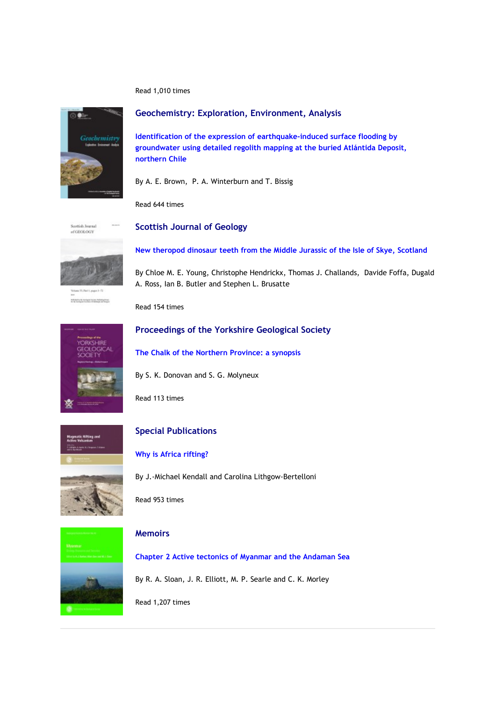Read 1,010 times



**Geochemistry: Exploration, Environment, Analysis**

**[Identification of the expression of earthquake-induced surface flooding by](https://eur01.safelinks.protection.outlook.com/?url=http%3A%2F%2Fgeologicalsociety.msgfocus.com%2Fc%2F1QQzeVKroSBNfzGhH9oRD3MD&data=02%7C01%7Clucy.pullen%40geolsoc.org.uk%7Ca51d414b08f54f6ce39008d73c3d341b%7C8793af0570194bd4bcbe1895301e92f9%7C0%7C0%7C637044105878870956&sdata=lX0m5DfrdZiL5%2Bg7soSysWx%2FF0dL4i2bBZmMCuWDuNU%3D&reserved=0)  [groundwater using detailed regolith mapping at the buried Atlántida Deposit,](https://eur01.safelinks.protection.outlook.com/?url=http%3A%2F%2Fgeologicalsociety.msgfocus.com%2Fc%2F1QQzeVKroSBNfzGhH9oRD3MD&data=02%7C01%7Clucy.pullen%40geolsoc.org.uk%7Ca51d414b08f54f6ce39008d73c3d341b%7C8793af0570194bd4bcbe1895301e92f9%7C0%7C0%7C637044105878870956&sdata=lX0m5DfrdZiL5%2Bg7soSysWx%2FF0dL4i2bBZmMCuWDuNU%3D&reserved=0)  [northern Chile](https://eur01.safelinks.protection.outlook.com/?url=http%3A%2F%2Fgeologicalsociety.msgfocus.com%2Fc%2F1QQzeVKroSBNfzGhH9oRD3MD&data=02%7C01%7Clucy.pullen%40geolsoc.org.uk%7Ca51d414b08f54f6ce39008d73c3d341b%7C8793af0570194bd4bcbe1895301e92f9%7C0%7C0%7C637044105878870956&sdata=lX0m5DfrdZiL5%2Bg7soSysWx%2FF0dL4i2bBZmMCuWDuNU%3D&reserved=0)**

By A. E. Brown, P. A. Winterburn and T. Bissig

Read 644 times

Scottish Journal of GEOLOGY

**Scottish Journal of Geology**



Informity to reclaim force Antonymous

By Chloe M. E. Young, Christophe Hendrickx, Thomas J. Challands, Davide Foffa, Dugald A. Ross, Ian B. Butler and Stephen L. Brusatte

**[New theropod dinosaur teeth from the Middle Jurassic of the Isle of Skye, Scotland](https://eur01.safelinks.protection.outlook.com/?url=http%3A%2F%2Fgeologicalsociety.msgfocus.com%2Fc%2F1QQzXTZBTFBMSNIrr2yrZlYV&data=02%7C01%7Clucy.pullen%40geolsoc.org.uk%7Ca51d414b08f54f6ce39008d73c3d341b%7C8793af0570194bd4bcbe1895301e92f9%7C0%7C0%7C637044105878870956&sdata=FMiStcxohLgxbW5Devw%2B79FugSphSAhkDfxel4BUAhw%3D&reserved=0)**

Read 154 times



#### **Proceedings of the Yorkshire Geological Society**

**[The Chalk of the Northern Province: a synopsis](https://eur01.safelinks.protection.outlook.com/?url=http%3A%2F%2Fgeologicalsociety.msgfocus.com%2Fc%2F1QQAGSeMosBMw1KBaVI2lEbd&data=02%7C01%7Clucy.pullen%40geolsoc.org.uk%7Ca51d414b08f54f6ce39008d73c3d341b%7C8793af0570194bd4bcbe1895301e92f9%7C0%7C0%7C637044105878880951&sdata=1P%2BidY0QtVwwegE3V1aXQzk9jI5N5kcx36fVP25JRiE%3D&reserved=0)**



Read 113 times



# **Special Publications**

### **[Why is Africa rifting?](https://eur01.safelinks.protection.outlook.com/?url=http%3A%2F%2Fgeologicalsociety.msgfocus.com%2Fc%2F1QQBMkBx8E6LXRNPMLrpT5tE&data=02%7C01%7Clucy.pullen%40geolsoc.org.uk%7Ca51d414b08f54f6ce39008d73c3d341b%7C8793af0570194bd4bcbe1895301e92f9%7C0%7C0%7C637044105878890943&sdata=6NepWq1gCedZGnEdonXELQdGBcT%2FFts%2B0An8yzA6Vf8%3D&reserved=0)**

By J.-Michael Kendall and Carolina Lithgow-Bertelloni

Read 953 times

### **Memoirs**

**[Chapter 2 Active tectonics of Myanmar and the Andaman Sea](https://eur01.safelinks.protection.outlook.com/?url=http%3A%2F%2Fgeologicalsociety.msgfocus.com%2Fc%2F1QQCviQHDr6LB5PZwEB0fnFW&data=02%7C01%7Clucy.pullen%40geolsoc.org.uk%7Ca51d414b08f54f6ce39008d73c3d341b%7C8793af0570194bd4bcbe1895301e92f9%7C0%7C0%7C637044105878900939&sdata=syLGWgWSlHxaSzcukfwl14LllBCWQkkH82s6pd%2BTT2A%3D&reserved=0)** By R. A. Sloan, J. R. Elliott, M. P. Searle and C. K. Morley

Read 1,207 times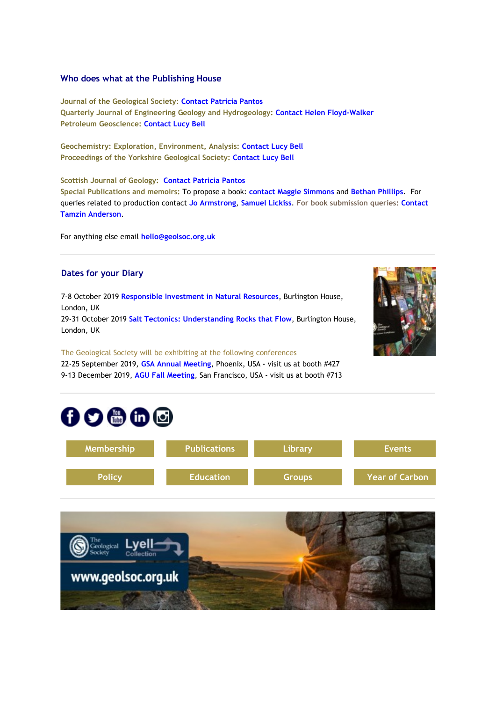#### **Who does what at the Publishing House**

**Journal of the Geological Society**: **[Contact Patricia Pantos](mailto:jgs@geolsoc.org.uk) Quarterly Journal of Engineering Geology and Hydrogeology[:](https://eur01.safelinks.protection.outlook.com/?url=http%3A%2F%2Fgeologicalsociety.msgfocus.com%2Fc%2F1QQCRMYhSPBLpHR4oBaNqwM5&data=02%7C01%7Clucy.pullen%40geolsoc.org.uk%7Ca51d414b08f54f6ce39008d73c3d341b%7C8793af0570194bd4bcbe1895301e92f9%7C0%7C0%7C637044105878910934&sdata=Xv8MLVY0ntq69m8tqYzgcRFoOAJH26kdp125o1osmSE%3D&reserved=0) [Contact Helen Floyd-Walker](https://eur01.safelinks.protection.outlook.com/?url=http%3A%2F%2Fgeologicalsociety.msgfocus.com%2Fc%2F1QQCRMYhSPBLpHR4oBaNqwM5&data=02%7C01%7Clucy.pullen%40geolsoc.org.uk%7Ca51d414b08f54f6ce39008d73c3d341b%7C8793af0570194bd4bcbe1895301e92f9%7C0%7C0%7C637044105878910934&sdata=Xv8MLVY0ntq69m8tqYzgcRFoOAJH26kdp125o1osmSE%3D&reserved=0) Petroleum Geoscience: [Contact Lucy Bell](mailto:pg@geolsoc.org.uk)**

**Geochemistry: Exploration, Environment, Analysis: [Contact Lucy Bell](mailto:geea@geolsoc.org.uk) Proceedings of the Yorkshire Geological Society: [Contact Lucy Bell](mailto:pygs@geolsoc.org.uk)**

**Scottish Journal of Geology: [Contact Patricia Pantos](mailto:sjg@geolsoc.org.uk) Special Publications and memoirs:** To propose a book: **[contact Maggie Simmons](mailto:maggie.simmons@geolsoc.org.uk)** and **[Bethan Phillips](mailto:bethan.phillips@geolsoc.org.uk)**. For queries related to production contact **[Jo Armstrong](mailto:jo.armstrong@geolsoc.org.uk)**, **[Samuel Lickiss](mailto:samuel.lickiss@geolsoc.org.uk)**. **For book submission queries: [Contact](mailto:EditorialOffice@geolsoc.org.uk)  [Tamzin Anderson](mailto:EditorialOffice@geolsoc.org.uk)**.

For anything else email **[hello@geolsoc.org.uk](mailto:hello@geolsoc.org.uk)**

# **Dates for your Diary**

7-8 October 2019 **[Responsible Investment in Natural Resources](https://eur01.safelinks.protection.outlook.com/?url=http%3A%2F%2Fgeologicalsociety.msgfocus.com%2Fc%2F1QQDeh5S8e6LejS9gxKABFSe&data=02%7C01%7Clucy.pullen%40geolsoc.org.uk%7Ca51d414b08f54f6ce39008d73c3d341b%7C8793af0570194bd4bcbe1895301e92f9%7C0%7C0%7C637044105878910934&sdata=ablKR6Y%2BcFxA9n719%2FeVqxLvYYXNpH92QfNTy84K9AU%3D&reserved=0)**, Burlington House, London, UK 29-31 October 2019 **[Salt Tectonics: Understanding Rocks that Flow](https://eur01.safelinks.protection.outlook.com/?url=http%3A%2F%2Fgeologicalsociety.msgfocus.com%2Fc%2F1QQDALdsnCBL2VTe8uknMOYn&data=02%7C01%7Clucy.pullen%40geolsoc.org.uk%7Ca51d414b08f54f6ce39008d73c3d341b%7C8793af0570194bd4bcbe1895301e92f9%7C0%7C0%7C637044105878920933&sdata=s0kw64phrbCBA%2BIeDgKAiqqHxxH3zV5Cgqlhv7%2Bik9s%3D&reserved=0)**, Burlington House,

London, UK

The Geological Society will be exhibiting at the following conferences

22-25 September 2019, **[GSA Annual Meeting](https://eur01.safelinks.protection.outlook.com/?url=http%3A%2F%2Fgeologicalsociety.msgfocus.com%2Fc%2F1QQDXfl2D16KRxUj0qUaXY4w&data=02%7C01%7Clucy.pullen%40geolsoc.org.uk%7Ca51d414b08f54f6ce39008d73c3d341b%7C8793af0570194bd4bcbe1895301e92f9%7C0%7C0%7C637044105878920933&sdata=8p2QBlNwlMQ8rnJXRkBLbTsndwRVL%2Bmcei2pv7%2Bwbj0%3D&reserved=0)**, Phoenix, USA - visit us at booth #427 9-13 December 2019, **[AGU Fall Meeting](https://eur01.safelinks.protection.outlook.com/?url=http%3A%2F%2Fgeologicalsociety.msgfocus.com%2Fc%2F1QQEjJsCSpBKG9VnSntY97aF&data=02%7C01%7Clucy.pullen%40geolsoc.org.uk%7Ca51d414b08f54f6ce39008d73c3d341b%7C8793af0570194bd4bcbe1895301e92f9%7C0%7C0%7C637044105878920933&sdata=nj5FutPuXHH6bjW4eT%2FIGjyCGc8iHfokxQJlK4piV4I%3D&reserved=0)**, San Francisco, USA - visit us at booth #713